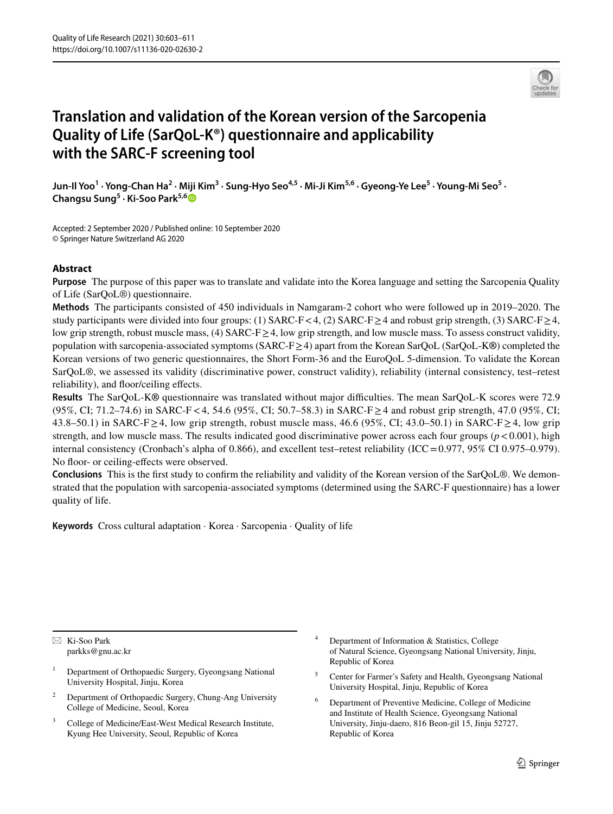

# **Translation and validation of the Korean version of the Sarcopenia Quality of Life (SarQoL‑K®) questionnaire and applicability with the SARC‑F screening tool**

Jun-Il Yoo<sup>1</sup> • Yong-Chan Ha<sup>2</sup> • Miji Kim<sup>3</sup> • Sung-Hyo Seo<sup>4,5</sup> • Mi-Ji Kim<sup>5,6</sup> • Gyeong-Ye Lee<sup>5</sup> • Young-Mi Seo<sup>5</sup> • **Changsu Sung5 · Ki‑Soo Park5,[6](http://orcid.org/0000-0001-5571-3639)**

Accepted: 2 September 2020 / Published online: 10 September 2020 © Springer Nature Switzerland AG 2020

# **Abstract**

**Purpose** The purpose of this paper was to translate and validate into the Korea language and setting the Sarcopenia Quality of Life (SarQoL®) questionnaire.

**Methods** The participants consisted of 450 individuals in Namgaram-2 cohort who were followed up in 2019–2020. The study participants were divided into four groups: (1) SARC-F < 4, (2) SARC-F ≥ 4 and robust grip strength, (3) SARC-F ≥ 4, low grip strength, robust muscle mass, (4) SARC-F≥4, low grip strength, and low muscle mass. To assess construct validity, population with sarcopenia-associated symptoms (SARC-F≥4) apart from the Korean SarQoL (SarQoL-K**®**) completed the Korean versions of two generic questionnaires, the Short Form-36 and the EuroQoL 5-dimension. To validate the Korean SarQoL®, we assessed its validity (discriminative power, construct validity), reliability (internal consistency, test–retest reliability), and foor/ceiling efects.

**Results** The SarQoL-K**®** questionnaire was translated without major difculties. The mean SarQoL-K scores were 72.9 (95%, CI; 71.2–74.6) in SARC-F<4, 54.6 (95%, CI; 50.7–58.3) in SARC-F≥4 and robust grip strength, 47.0 (95%, CI; 43.8–50.1) in SARC-F ≥4, low grip strength, robust muscle mass, 46.6 (95%, CI; 43.0–50.1) in SARC-F ≥4, low grip strength, and low muscle mass. The results indicated good discriminative power across each four groups  $(p < 0.001)$ , high internal consistency (Cronbach's alpha of 0.866), and excellent test–retest reliability (ICC=0.977, 95% CI 0.975–0.979). No floor- or ceiling-effects were observed.

**Conclusions** This is the frst study to confrm the reliability and validity of the Korean version of the SarQoL®. We demonstrated that the population with sarcopenia-associated symptoms (determined using the SARC-F questionnaire) has a lower quality of life.

**Keywords** Cross cultural adaptation · Korea · Sarcopenia · Quality of life

 $\boxtimes$  Ki-Soo Park parkks@gnu.ac.kr

- <sup>1</sup> Department of Orthopaedic Surgery, Gyeongsang National University Hospital, Jinju, Korea
- <sup>2</sup> Department of Orthopaedic Surgery, Chung-Ang University College of Medicine, Seoul, Korea
- <sup>3</sup> College of Medicine/East-West Medical Research Institute, Kyung Hee University, Seoul, Republic of Korea
- Department of Information & Statistics, College of Natural Science, Gyeongsang National University, Jinju, Republic of Korea
- <sup>5</sup> Center for Farmer's Safety and Health, Gyeongsang National University Hospital, Jinju, Republic of Korea
- <sup>6</sup> Department of Preventive Medicine, College of Medicine and Institute of Health Science, Gyeongsang National University, Jinju-daero, 816 Beon-gil 15, Jinju 52727, Republic of Korea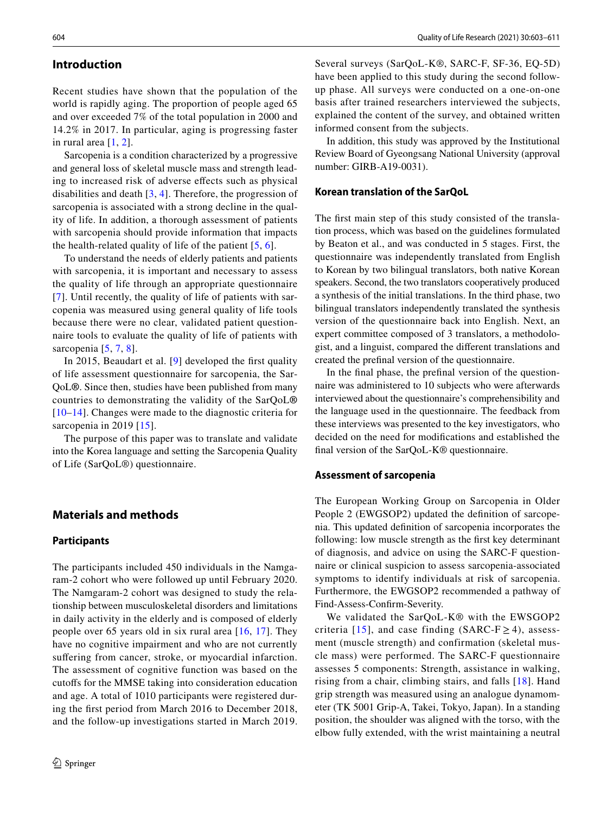## **Introduction**

Recent studies have shown that the population of the world is rapidly aging. The proportion of people aged 65 and over exceeded 7% of the total population in 2000 and 14.2% in 2017. In particular, aging is progressing faster in rural area  $[1, 2]$  $[1, 2]$  $[1, 2]$  $[1, 2]$  $[1, 2]$ .

Sarcopenia is a condition characterized by a progressive and general loss of skeletal muscle mass and strength leading to increased risk of adverse efects such as physical disabilities and death [[3,](#page-7-2) [4](#page-7-3)]. Therefore, the progression of sarcopenia is associated with a strong decline in the quality of life. In addition, a thorough assessment of patients with sarcopenia should provide information that impacts the health-related quality of life of the patient [\[5](#page-7-4), [6\]](#page-7-5).

To understand the needs of elderly patients and patients with sarcopenia, it is important and necessary to assess the quality of life through an appropriate questionnaire [[7\]](#page-7-6). Until recently, the quality of life of patients with sarcopenia was measured using general quality of life tools because there were no clear, validated patient questionnaire tools to evaluate the quality of life of patients with sarcopenia [[5,](#page-7-4) [7](#page-7-6), [8\]](#page-7-7).

In 2015, Beaudart et al. [\[9\]](#page-7-8) developed the frst quality of life assessment questionnaire for sarcopenia, the Sar-QoL**®**. Since then, studies have been published from many countries to demonstrating the validity of the SarQoL**®** [[10–](#page-7-9)[14](#page-8-0)]. Changes were made to the diagnostic criteria for sarcopenia in 2019 [[15](#page-8-1)].

The purpose of this paper was to translate and validate into the Korea language and setting the Sarcopenia Quality of Life (SarQoL®) questionnaire.

## **Materials and methods**

#### **Participants**

The participants included 450 individuals in the Namgaram-2 cohort who were followed up until February 2020. The Namgaram-2 cohort was designed to study the relationship between musculoskeletal disorders and limitations in daily activity in the elderly and is composed of elderly people over 65 years old in six rural area [[16,](#page-8-2) [17\]](#page-8-3). They have no cognitive impairment and who are not currently suffering from cancer, stroke, or myocardial infarction. The assessment of cognitive function was based on the cutofs for the MMSE taking into consideration education and age. A total of 1010 participants were registered during the frst period from March 2016 to December 2018, and the follow-up investigations started in March 2019.

Several surveys (SarQoL-K®, SARC-F, SF-36, EQ-5D) have been applied to this study during the second followup phase. All surveys were conducted on a one-on-one basis after trained researchers interviewed the subjects, explained the content of the survey, and obtained written informed consent from the subjects.

In addition, this study was approved by the Institutional Review Board of Gyeongsang National University (approval number: GIRB-A19-0031).

## **Korean translation of the SarQoL**

The frst main step of this study consisted of the translation process, which was based on the guidelines formulated by Beaton et al., and was conducted in 5 stages. First, the questionnaire was independently translated from English to Korean by two bilingual translators, both native Korean speakers. Second, the two translators cooperatively produced a synthesis of the initial translations. In the third phase, two bilingual translators independently translated the synthesis version of the questionnaire back into English. Next, an expert committee composed of 3 translators, a methodologist, and a linguist, compared the diferent translations and created the prefnal version of the questionnaire.

In the fnal phase, the prefnal version of the questionnaire was administered to 10 subjects who were afterwards interviewed about the questionnaire's comprehensibility and the language used in the questionnaire. The feedback from these interviews was presented to the key investigators, who decided on the need for modifcations and established the fnal version of the SarQoL-K® questionnaire.

## **Assessment of sarcopenia**

The European Working Group on Sarcopenia in Older People 2 (EWGSOP2) updated the defnition of sarcopenia. This updated defnition of sarcopenia incorporates the following: low muscle strength as the frst key determinant of diagnosis, and advice on using the SARC-F questionnaire or clinical suspicion to assess sarcopenia-associated symptoms to identify individuals at risk of sarcopenia. Furthermore, the EWGSOP2 recommended a pathway of Find-Assess-Confrm-Severity.

We validated the SarQoL-K® with the EWSGOP2 criteria [[15\]](#page-8-1), and case finding (SARC-F $\geq$ 4), assessment (muscle strength) and confirmation (skeletal muscle mass) were performed. The SARC-F questionnaire assesses 5 components: Strength, assistance in walking, rising from a chair, climbing stairs, and falls [[18\]](#page-8-4). Hand grip strength was measured using an analogue dynamometer (TK 5001 Grip-A, Takei, Tokyo, Japan). In a standing position, the shoulder was aligned with the torso, with the elbow fully extended, with the wrist maintaining a neutral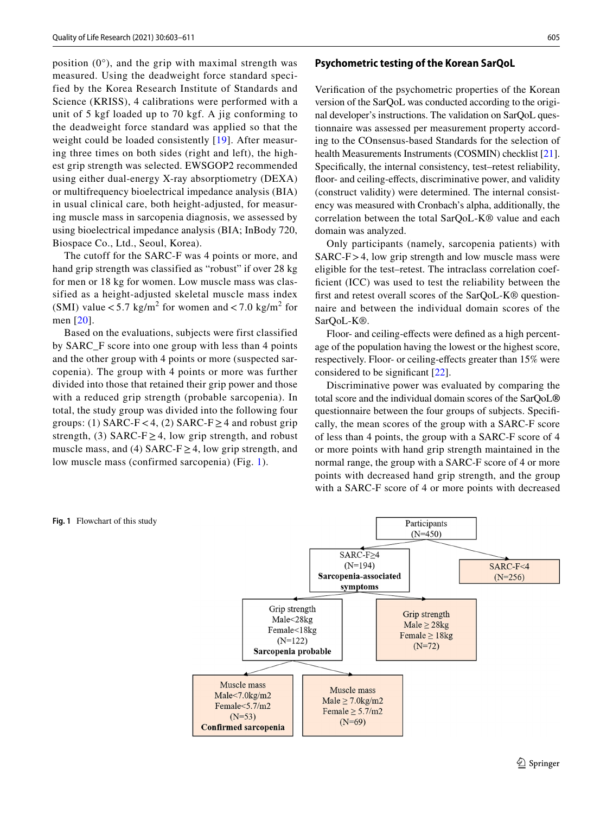position  $(0^{\circ})$ , and the grip with maximal strength was measured. Using the deadweight force standard specified by the Korea Research Institute of Standards and Science (KRISS), 4 calibrations were performed with a unit of 5 kgf loaded up to 70 kgf. A jig conforming to the deadweight force standard was applied so that the weight could be loaded consistently [[19\]](#page-8-5). After measuring three times on both sides (right and left), the highest grip strength was selected. EWSGOP2 recommended using either dual-energy X-ray absorptiometry (DEXA) or multifrequency bioelectrical impedance analysis (BIA) in usual clinical care, both height-adjusted, for measuring muscle mass in sarcopenia diagnosis, we assessed by using bioelectrical impedance analysis (BIA; InBody 720, Biospace Co., Ltd., Seoul, Korea).

The cutoff for the SARC-F was 4 points or more, and hand grip strength was classified as "robust" if over 28 kg for men or 18 kg for women. Low muscle mass was classified as a height-adjusted skeletal muscle mass index (SMI) value  $< 5.7 \text{ kg/m}^2$  for women and  $< 7.0 \text{ kg/m}^2$  for men [[20\]](#page-8-6).

Based on the evaluations, subjects were first classified by SARC\_F score into one group with less than 4 points and the other group with 4 points or more (suspected sarcopenia). The group with 4 points or more was further divided into those that retained their grip power and those with a reduced grip strength (probable sarcopenia). In total, the study group was divided into the following four groups: (1) SARC-F < 4, (2) SARC-F  $\geq$  4 and robust grip strength, (3) SARC-F  $\geq$  4, low grip strength, and robust muscle mass, and (4) SARC-F  $\geq$  4, low grip strength, and low muscle mass (confirmed sarcopenia) (Fig. [1\)](#page-2-0).

# **Psychometric testing of the Korean SarQoL**

Verifcation of the psychometric properties of the Korean version of the SarQoL was conducted according to the original developer's instructions. The validation on SarQoL questionnaire was assessed per measurement property according to the COnsensus-based Standards for the selection of health Measurements Instruments (COSMIN) checklist [[21](#page-8-7)]. Specifcally, the internal consistency, test–retest reliability, floor- and ceiling-effects, discriminative power, and validity (construct validity) were determined. The internal consistency was measured with Cronbach's alpha, additionally, the correlation between the total SarQoL-K® value and each domain was analyzed.

Only participants (namely, sarcopenia patients) with SARC-F>4, low grip strength and low muscle mass were eligible for the test–retest. The intraclass correlation coefficient (ICC) was used to test the reliability between the frst and retest overall scores of the SarQoL-K® questionnaire and between the individual domain scores of the SarQoL-K®.

Floor- and ceiling-efects were defned as a high percentage of the population having the lowest or the highest score, respectively. Floor- or ceiling-efects greater than 15% were considered to be signifcant [[22\]](#page-8-8).

Discriminative power was evaluated by comparing the total score and the individual domain scores of the SarQoL**®** questionnaire between the four groups of subjects. Specifcally, the mean scores of the group with a SARC-F score of less than 4 points, the group with a SARC-F score of 4 or more points with hand grip strength maintained in the normal range, the group with a SARC-F score of 4 or more points with decreased hand grip strength, and the group with a SARC-F score of 4 or more points with decreased



#### <span id="page-2-0"></span>**Fig. 1** Flowchart of this study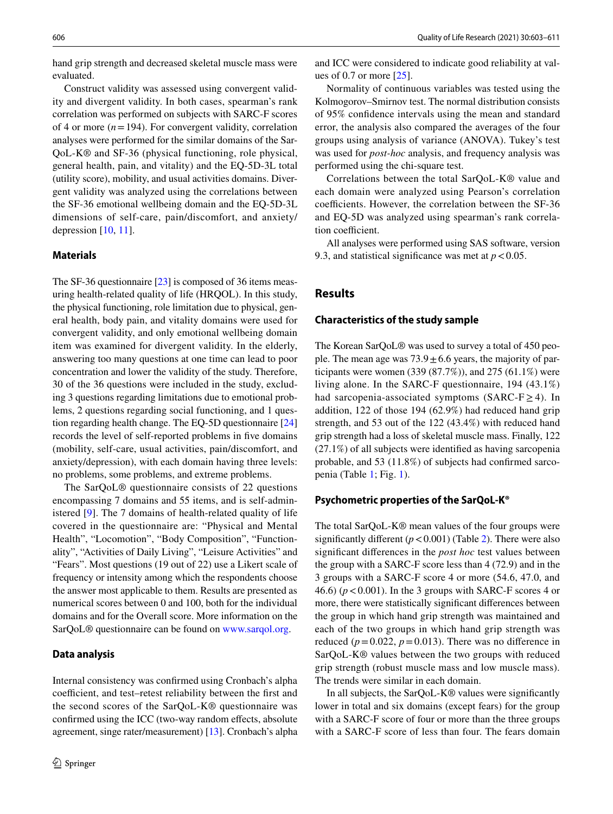hand grip strength and decreased skeletal muscle mass were evaluated.

Construct validity was assessed using convergent validity and divergent validity. In both cases, spearman's rank correlation was performed on subjects with SARC-F scores of 4 or more  $(n=194)$ . For convergent validity, correlation analyses were performed for the similar domains of the Sar-QoL-K® and SF-36 (physical functioning, role physical, general health, pain, and vitality) and the EQ-5D-3L total (utility score), mobility, and usual activities domains. Divergent validity was analyzed using the correlations between the SF-36 emotional wellbeing domain and the EQ-5D-3L dimensions of self-care, pain/discomfort, and anxiety/ depression [\[10](#page-7-9), [11](#page-7-10)].

#### **Materials**

The SF-36 questionnaire [\[23](#page-8-9)] is composed of 36 items measuring health-related quality of life (HRQOL). In this study, the physical functioning, role limitation due to physical, general health, body pain, and vitality domains were used for convergent validity, and only emotional wellbeing domain item was examined for divergent validity. In the elderly, answering too many questions at one time can lead to poor concentration and lower the validity of the study. Therefore, 30 of the 36 questions were included in the study, excluding 3 questions regarding limitations due to emotional problems, 2 questions regarding social functioning, and 1 question regarding health change. The EQ-5D questionnaire [[24\]](#page-8-10) records the level of self-reported problems in fve domains (mobility, self-care, usual activities, pain/discomfort, and anxiety/depression), with each domain having three levels: no problems, some problems, and extreme problems.

The SarQoL® questionnaire consists of 22 questions encompassing 7 domains and 55 items, and is self-administered [[9\]](#page-7-8). The 7 domains of health-related quality of life covered in the questionnaire are: "Physical and Mental Health", "Locomotion", "Body Composition", "Functionality", "Activities of Daily Living", "Leisure Activities" and "Fears". Most questions (19 out of 22) use a Likert scale of frequency or intensity among which the respondents choose the answer most applicable to them. Results are presented as numerical scores between 0 and 100, both for the individual domains and for the Overall score. More information on the SarQoL® questionnaire can be found on [www.sarqol.org.](http://www.sarqol.org)

#### **Data analysis**

Internal consistency was confrmed using Cronbach's alpha coefficient, and test–retest reliability between the first and the second scores of the SarQoL-K® questionnaire was confrmed using the ICC (two-way random efects, absolute agreement, singe rater/measurement) [[13\]](#page-7-11). Cronbach's alpha and ICC were considered to indicate good reliability at values of 0.7 or more [\[25](#page-8-11)].

Normality of continuous variables was tested using the Kolmogorov–Smirnov test. The normal distribution consists of 95% confdence intervals using the mean and standard error, the analysis also compared the averages of the four groups using analysis of variance (ANOVA). Tukey's test was used for *post-hoc* analysis, and frequency analysis was performed using the chi-square test.

Correlations between the total SarQoL-K® value and each domain were analyzed using Pearson's correlation coefficients. However, the correlation between the SF-36 and EQ-5D was analyzed using spearman's rank correlation coefficient.

All analyses were performed using SAS software, version 9.3, and statistical significance was met at  $p < 0.05$ .

# **Results**

#### **Characteristics of the study sample**

The Korean SarQoL® was used to survey a total of 450 people. The mean age was  $73.9 \pm 6.6$  years, the majority of participants were women  $(339 (87.7%)$ , and  $275 (61.1%)$  were living alone. In the SARC-F questionnaire, 194 (43.1%) had sarcopenia-associated symptoms (SARC-F $\geq$ 4). In addition, 122 of those 194 (62.9%) had reduced hand grip strength, and 53 out of the 122 (43.4%) with reduced hand grip strength had a loss of skeletal muscle mass. Finally, 122 (27.1%) of all subjects were identifed as having sarcopenia probable, and 53 (11.8%) of subjects had confrmed sarcopenia (Table [1;](#page-4-0) Fig. [1\)](#page-2-0).

#### **Psychometric properties of the SarQoL‑K®**

The total SarQoL-K® mean values of the four groups were significantly different  $(p < 0.001)$  (Table [2\)](#page-5-0). There were also signifcant diferences in the *post hoc* test values between the group with a SARC-F score less than 4 (72.9) and in the 3 groups with a SARC-F score 4 or more (54.6, 47.0, and 46.6) ( $p < 0.001$ ). In the 3 groups with SARC-F scores 4 or more, there were statistically signifcant diferences between the group in which hand grip strength was maintained and each of the two groups in which hand grip strength was reduced ( $p = 0.022$ ,  $p = 0.013$ ). There was no difference in SarQoL-K® values between the two groups with reduced grip strength (robust muscle mass and low muscle mass). The trends were similar in each domain.

In all subjects, the SarQoL-K® values were signifcantly lower in total and six domains (except fears) for the group with a SARC-F score of four or more than the three groups with a SARC-F score of less than four. The fears domain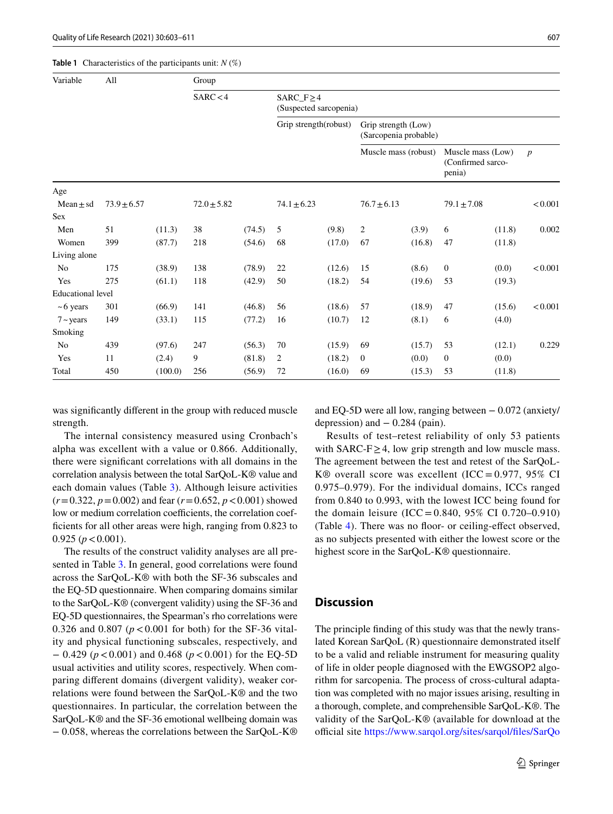<span id="page-4-0"></span>**Table 1** Characteristics of the participants unit: *N* (%)

| Variable                 | All             |         | Group           |        |                                           |        |                                              |        |                                                  |        |                  |
|--------------------------|-----------------|---------|-----------------|--------|-------------------------------------------|--------|----------------------------------------------|--------|--------------------------------------------------|--------|------------------|
|                          |                 |         | SARC < 4        |        | $SARC_F \geq 4$<br>(Suspected sarcopenia) |        |                                              |        |                                                  |        |                  |
|                          |                 |         |                 |        | Grip strength(robust)                     |        | Grip strength (Low)<br>(Sarcopenia probable) |        |                                                  |        |                  |
|                          |                 |         |                 |        |                                           |        | Muscle mass (robust)                         |        | Muscle mass (Low)<br>(Confirmed sarco-<br>penia) |        | $\boldsymbol{p}$ |
| Age                      |                 |         |                 |        |                                           |        |                                              |        |                                                  |        |                  |
| $Mean \pm sd$<br>Sex     | $73.9 \pm 6.57$ |         | $72.0 \pm 5.82$ |        | $74.1 \pm 6.23$                           |        | $76.7 \pm 6.13$                              |        | $79.1 \pm 7.08$                                  |        | < 0.001          |
| Men                      | 51              | (11.3)  | 38              | (74.5) | 5                                         | (9.8)  | $\overline{c}$                               | (3.9)  | 6                                                | (11.8) | 0.002            |
| Women                    | 399             | (87.7)  | 218             | (54.6) | 68                                        | (17.0) | 67                                           | (16.8) | 47                                               | (11.8) |                  |
| Living alone             |                 |         |                 |        |                                           |        |                                              |        |                                                  |        |                  |
| N <sub>0</sub>           | 175             | (38.9)  | 138             | (78.9) | 22                                        | (12.6) | 15                                           | (8.6)  | $\boldsymbol{0}$                                 | (0.0)  | < 0.001          |
| Yes                      | 275             | (61.1)  | 118             | (42.9) | 50                                        | (18.2) | 54                                           | (19.6) | 53                                               | (19.3) |                  |
| <b>Educational</b> level |                 |         |                 |        |                                           |        |                                              |        |                                                  |        |                  |
| $~5$ years               | 301             | (66.9)  | 141             | (46.8) | 56                                        | (18.6) | 57                                           | (18.9) | 47                                               | (15.6) | < 0.001          |
| $7 - \text{years}$       | 149             | (33.1)  | 115             | (77.2) | 16                                        | (10.7) | 12                                           | (8.1)  | 6                                                | (4.0)  |                  |
| Smoking                  |                 |         |                 |        |                                           |        |                                              |        |                                                  |        |                  |
| No                       | 439             | (97.6)  | 247             | (56.3) | 70                                        | (15.9) | 69                                           | (15.7) | 53                                               | (12.1) | 0.229            |
| Yes                      | 11              | (2.4)   | 9               | (81.8) | 2                                         | (18.2) | $\mathbf{0}$                                 | (0.0)  | $\mathbf{0}$                                     | (0.0)  |                  |
| Total                    | 450             | (100.0) | 256             | (56.9) | 72                                        | (16.0) | 69                                           | (15.3) | 53                                               | (11.8) |                  |

was signifcantly diferent in the group with reduced muscle strength.

The internal consistency measured using Cronbach's alpha was excellent with a value or 0.866. Additionally, there were signifcant correlations with all domains in the correlation analysis between the total SarQoL-K® value and each domain values (Table [3](#page-6-0)). Although leisure activities  $(r=0.322, p=0.002)$  and fear  $(r=0.652, p<0.001)$  showed low or medium correlation coefficients, the correlation coeffcients for all other areas were high, ranging from 0.823 to  $0.925 (p < 0.001)$ .

The results of the construct validity analyses are all presented in Table [3.](#page-6-0) In general, good correlations were found across the SarQoL-K® with both the SF-36 subscales and the EQ-5D questionnaire. When comparing domains similar to the SarQoL-K® (convergent validity) using the SF-36 and EQ-5D questionnaires, the Spearman's rho correlations were 0.326 and 0.807 ( $p < 0.001$  for both) for the SF-36 vitality and physical functioning subscales, respectively, and − 0.429 (*p*<0.001) and 0.468 (*p*<0.001) for the EQ-5D usual activities and utility scores, respectively. When comparing diferent domains (divergent validity), weaker correlations were found between the SarQoL-K® and the two questionnaires. In particular, the correlation between the SarQoL-K® and the SF-36 emotional wellbeing domain was − 0.058, whereas the correlations between the SarQoL-K® and EQ-5D were all low, ranging between − 0.072 (anxiety/ depression) and  $-0.284$  (pain).

Results of test–retest reliability of only 53 patients with SARC-F $\geq$ 4, low grip strength and low muscle mass. The agreement between the test and retest of the SarQoL-K® overall score was excellent (ICC =  $0.977$ , 95% CI 0.975–0.979). For the individual domains, ICCs ranged from 0.840 to 0.993, with the lowest ICC being found for the domain leisure (ICC =  $0.840, 95\%$  CI 0.720–0.910) (Table [4\)](#page-6-1). There was no floor- or ceiling-effect observed, as no subjects presented with either the lowest score or the highest score in the SarQoL-K® questionnaire.

#### **Discussion**

The principle fnding of this study was that the newly translated Korean SarQoL (R) questionnaire demonstrated itself to be a valid and reliable instrument for measuring quality of life in older people diagnosed with the EWGSOP2 algorithm for sarcopenia. The process of cross-cultural adaptation was completed with no major issues arising, resulting in a thorough, complete, and comprehensible SarQoL-K®. The validity of the SarQoL-K® (available for download at the official site https://www.sarqol.org/sites/sarqol/files/SarQo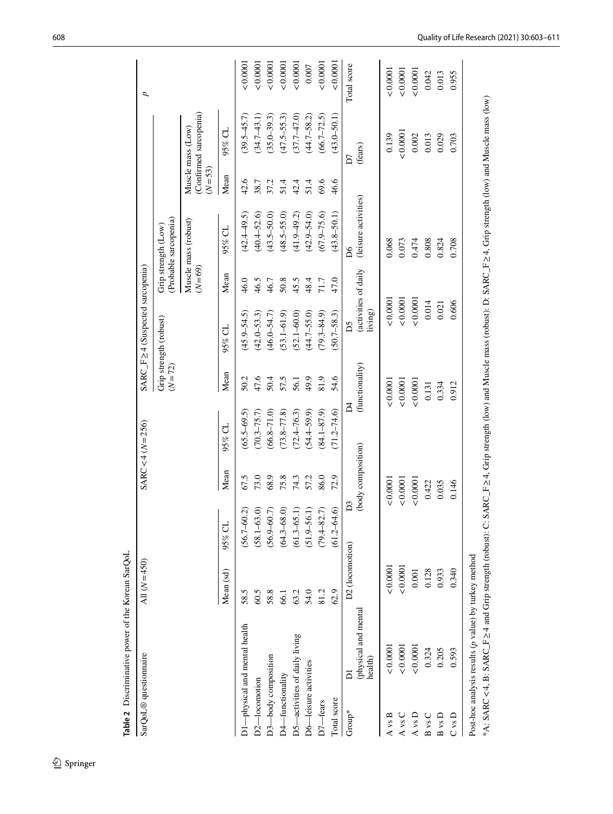<span id="page-5-0"></span>

| Table 2 Discriminative power of the Korean SarQoL                                                                            |                 |                 |                    |                         |                 |                                     |          |                                              |            |                                                                                                                              |             |
|------------------------------------------------------------------------------------------------------------------------------|-----------------|-----------------|--------------------|-------------------------|-----------------|-------------------------------------|----------|----------------------------------------------|------------|------------------------------------------------------------------------------------------------------------------------------|-------------|
| SarQoL® questionnaire                                                                                                        | All $(N=450)$   |                 |                    | $SARC < 4 (N = 256)$    |                 | SARC_F≥4 (Suspected sarcopenia)     |          |                                              |            |                                                                                                                              | d           |
|                                                                                                                              |                 |                 |                    |                         | $(N = 72)$      | Grip strength (robust)              |          | (Probable sarcopenia)<br>Grip strength (Low) |            |                                                                                                                              |             |
|                                                                                                                              |                 |                 |                    |                         |                 |                                     | $(N=69)$ | Muscle mass (robust)                         | $(N = 53)$ | (Confirmed sarcopenia)<br>Muscle mass (Low)                                                                                  |             |
|                                                                                                                              | Mean (sd)       | 95% CL          | Mean               | $95\%$ CL               | Mean            | $95%$ CL                            | Mean     | 95% CL                                       | Mean       | $95\%$ CL                                                                                                                    |             |
| D1-physical and mental health                                                                                                | 58.5            | $(56.7 - 60.2)$ | 67.5               | $(65.5 - 69.5)$         | 50.2            | $(45.9 - 54.5)$                     | 46.0     | $(42.4 - 49.5)$                              | 42.6       | $(39.5 - 45.7)$                                                                                                              | 0.0001      |
| D2-locomotion                                                                                                                | 60.5            | $(58.1 - 63.0)$ | 73.0               | $(70.3 - 75.7)$         | 47.6            | $(42.0 - 53.3)$                     | 46.5     | $(40.4 - 52.6)$                              | 38.7       | $(34.7 - 43.1)$                                                                                                              | 0.0001      |
| D3-body composition                                                                                                          | 58.8            | $(56.9 - 60.7)$ | 68.9               | $(66.8 - 71.0)$         | 50.4            | $(46.0 - 54.7)$                     | 46.7     | $(43.5 - 50.0)$                              | 37.2       | $(35.0 - 39.3)$                                                                                                              | 0.0001      |
| D4-functionality                                                                                                             | 66.1            | $(64.3 - 68.0)$ | 75.8               | $(73.8 - 77.8)$         | 57.5            | $(53.1 - 61.9)$                     | 50.8     | $(48.5 - 55.0)$                              | 51.4       | $(47.5 - 55.3)$                                                                                                              | 0.0001      |
| D5-activities of daily living                                                                                                | 63.2            | $(61.3 - 65.1)$ | 74.3               | $(72.4 - 76.3)$         | 56.1            | $(52.1 - 60.0)$                     | 45.5     | $(41.9 - 49.2)$                              | 42.4       | $(37.7 - 47.0)$                                                                                                              | 0.0001      |
| D6-leisure activities                                                                                                        | 54.0            | $(51.9 - 56.1)$ | 57.2               | $(54.4 - 59.9)$         | 49.9            | $(44.7 - 55.0)$                     | 48.4     | $(42.9 - 54.0)$                              | 51.4       | $(44.7 - 58.2)$                                                                                                              | 0.007       |
| D7-fears                                                                                                                     | 81.2            | $(79.4 - 82.7)$ | 86.0               | $(84.1 - 87.9)$         | 81.9            | $(79.3 - 84.9)$                     | 71.7     | $(67.9 - 75.6)$                              | 69.6       | $(66.7 - 72.5)$                                                                                                              | 0.0001      |
| Total score                                                                                                                  | 62.9            | $(61.2 - 64.6)$ | 72.9               | $(71.2 - 74.6)$         | 54.6            | $(50.7 - 58.3)$                     | 47.0     | $(43.8 - 50.1)$                              | 46.6       | $(43.0 - 50.1)$                                                                                                              | 0.0001      |
| h<br>Group*                                                                                                                  | D2 (locomotion) | D <sub>3</sub>  |                    | $\overline{\mathsf{d}}$ |                 | ΔŚ                                  |          | Δ6                                           |            | D7                                                                                                                           | Total score |
| (physical and mental<br>health)                                                                                              |                 |                 | (body composition) |                         | (functionality) | (activities of daily<br>$\,$ iving) |          | (leisure activities)                         |            | (fears)                                                                                                                      |             |
| 0.0001<br>A vs B                                                                                                             | < 0.0001        |                 | 0.0001             |                         | 0.0001          | 0.0001                              |          | 0.068                                        |            | 0.139                                                                                                                        | 0.0001      |
| 0.0001<br>A vs C                                                                                                             | 0.0001          |                 | 0.0001             |                         | 0.0001          | 0.0001                              |          | 0.073                                        |            | 0.0001                                                                                                                       | 0.0001      |
| 0.0001<br>A vs D                                                                                                             | 0.001           |                 | 0.0001             |                         | 0.0001          | ${}_{0.0001}$                       |          | 0.474                                        |            | $0.002\,$                                                                                                                    | 0.0001      |
| 0.324<br>B vs C                                                                                                              | 0.128           |                 | 0.422              |                         | 0.131           | 0.014                               |          | 0.808                                        |            | 0.013                                                                                                                        | 0.042       |
| 0.205<br>$B$ vs $D$                                                                                                          | 0.933           |                 | 0.035              |                         | 0.334           | 0.021                               |          | 0.824                                        |            | 0.029                                                                                                                        | 0.013       |
| 0.593<br>C vs D                                                                                                              | 0.340           |                 | 0.146              |                         | 0.912           | 0.606                               |          | 0.708                                        |            | 0.703                                                                                                                        | 0.955       |
| $A: SARC < 4$ , B: SARC $_F \geq 4$ and Grip strength (robust): C:<br>Post-hoc analysis results $(p$ value) by turkey method |                 |                 |                    |                         |                 |                                     |          |                                              |            | SARC_F $\geq$ 4, Grip strength (low) and Muscle mass (robust): D: SARC_F $\geq$ 4, Grip strength (low) and Muscle mass (low) |             |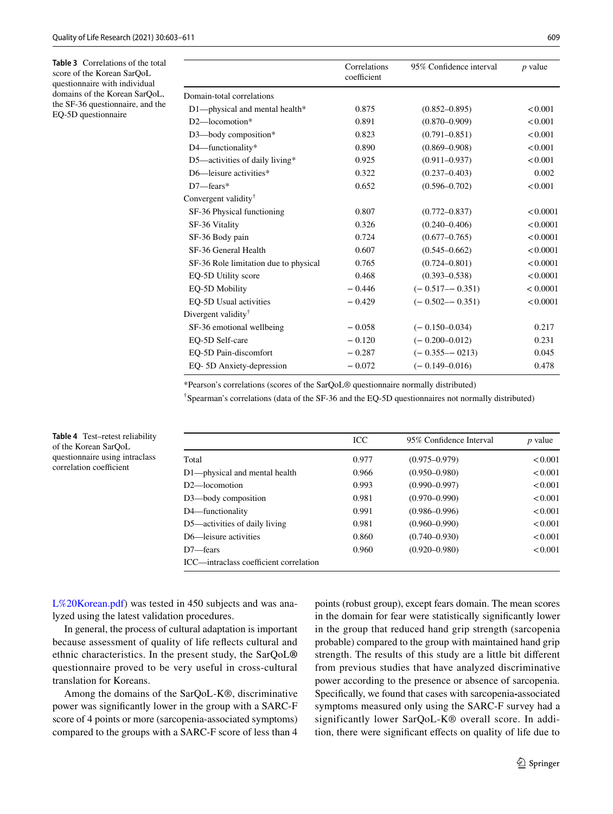<span id="page-6-0"></span>**Table 3** Correlations of the total score of the Korean SarQoL questionnaire with individual domains of the Korean SarQoL, the SF-36 questionnaire, and the EQ-5D questionnaire

<span id="page-6-1"></span>**Table 4** Test–retest reliability of the Korean SarQoL questionnaire using intraclass correlation coefficient

|                                       | Correlations<br>coefficient | 95% Confidence interval | $p$ value |
|---------------------------------------|-----------------------------|-------------------------|-----------|
| Domain-total correlations             |                             |                         |           |
| D1-physical and mental health*        | 0.875                       | $(0.852 - 0.895)$       | < 0.001   |
| $D2$ —locomotion*                     | 0.891                       | $(0.870 - 0.909)$       | < 0.001   |
| D3-body composition*                  | 0.823                       | $(0.791 - 0.851)$       | < 0.001   |
| D4-functionality*                     | 0.890                       | $(0.869 - 0.908)$       | < 0.001   |
| D5-activities of daily living*        | 0.925                       | $(0.911 - 0.937)$       | < 0.001   |
| $D6$ —leisure activities*             | 0.322                       | $(0.237 - 0.403)$       | 0.002     |
| $D7$ -fears*                          | 0.652                       | $(0.596 - 0.702)$       | < 0.001   |
| Convergent validity <sup>†</sup>      |                             |                         |           |
| SF-36 Physical functioning            | 0.807                       | $(0.772 - 0.837)$       | < 0.0001  |
| SF-36 Vitality                        | 0.326                       | $(0.240 - 0.406)$       | < 0.0001  |
| SF-36 Body pain                       | 0.724                       | $(0.677 - 0.765)$       | < 0.0001  |
| SF-36 General Health                  | 0.607                       | $(0.545 - 0.662)$       | < 0.0001  |
| SF-36 Role limitation due to physical | 0.765                       | $(0.724 - 0.801)$       | < 0.0001  |
| EO-5D Utility score                   | 0.468                       | $(0.393 - 0.538)$       | < 0.0001  |
| EO-5D Mobility                        | $-0.446$                    | $(-0.517 - -0.351)$     | < 0.0001  |
| EO-5D Usual activities                | $-0.429$                    | $(-0.502 - 0.351)$      | < 0.0001  |
| Divergent validity <sup>†</sup>       |                             |                         |           |
| SF-36 emotional wellbeing             | $-0.058$                    | $(-0.150 - 0.034)$      | 0.217     |
| EO-5D Self-care                       | $-0.120$                    | $(-0.200 - 0.012)$      | 0.231     |
| EO-5D Pain-discomfort                 | $-0.287$                    | $(-0.355 - 0213)$       | 0.045     |
| EQ-5D Anxiety-depression              | $-0.072$                    | $(-0.149 - 0.016)$      | 0.478     |

\*Pearson's correlations (scores of the SarQoL® questionnaire normally distributed)

† Spearman's correlations (data of the SF-36 and the EQ-5D questionnaires not normally distributed)

|                                        | ICC.  | 95% Confidence Interval | <i>p</i> value |
|----------------------------------------|-------|-------------------------|----------------|
| Total                                  | 0.977 | $(0.975 - 0.979)$       | < 0.001        |
| D1—physical and mental health          | 0.966 | $(0.950 - 0.980)$       | < 0.001        |
| $D2$ —locomotion                       | 0.993 | $(0.990 - 0.997)$       | < 0.001        |
| D3—body composition                    | 0.981 | $(0.970 - 0.990)$       | < 0.001        |
| D4—functionality                       | 0.991 | $(0.986 - 0.996)$       | < 0.001        |
| D5—activities of daily living          | 0.981 | $(0.960 - 0.990)$       | < 0.001        |
| D6—leisure activities                  | 0.860 | $(0.740 - 0.930)$       | < 0.001        |
| $D7$ -fears                            | 0.960 | $(0.920 - 0.980)$       | < 0.001        |
| ICC—intraclass coefficient correlation |       |                         |                |

[L%20Korean.pdf\)](https://www.sarqol.org/sites/sarqol/files/SarQoL%20Korean.pdf) was tested in 450 subjects and was analyzed using the latest validation procedures.

In general, the process of cultural adaptation is important because assessment of quality of life refects cultural and ethnic characteristics. In the present study, the SarQoL**®** questionnaire proved to be very useful in cross-cultural translation for Koreans.

Among the domains of the SarQoL-K®, discriminative power was signifcantly lower in the group with a SARC-F score of 4 points or more (sarcopenia-associated symptoms) compared to the groups with a SARC-F score of less than 4 points (robust group), except fears domain. The mean scores in the domain for fear were statistically signifcantly lower in the group that reduced hand grip strength (sarcopenia probable) compared to the group with maintained hand grip strength. The results of this study are a little bit diferent from previous studies that have analyzed discriminative power according to the presence or absence of sarcopenia. Specifcally, we found that cases with sarcopenia**-**associated symptoms measured only using the SARC-F survey had a significantly lower SarQoL-K® overall score. In addition, there were signifcant efects on quality of life due to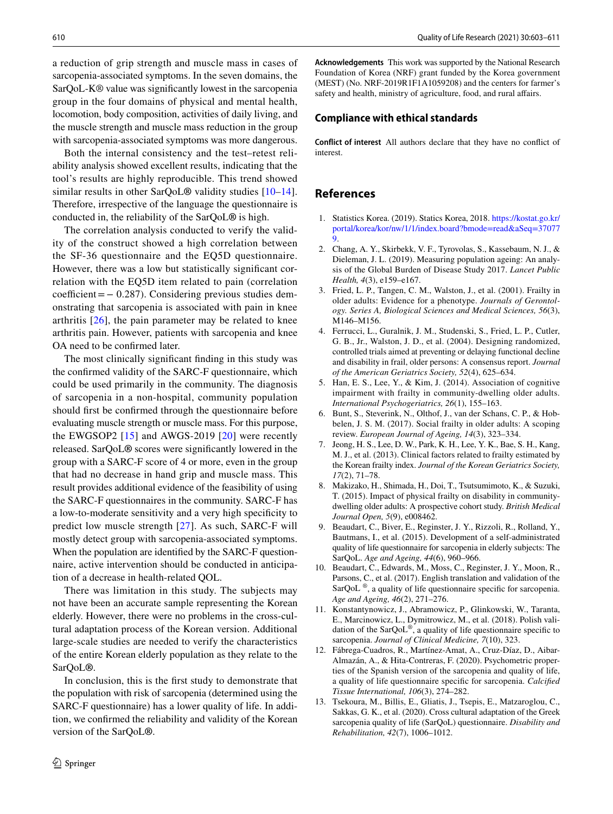a reduction of grip strength and muscle mass in cases of sarcopenia-associated symptoms. In the seven domains, the SarQoL-K® value was signifcantly lowest in the sarcopenia group in the four domains of physical and mental health, locomotion, body composition, activities of daily living, and the muscle strength and muscle mass reduction in the group with sarcopenia-associated symptoms was more dangerous.

Both the internal consistency and the test–retest reliability analysis showed excellent results, indicating that the tool's results are highly reproducible. This trend showed similar results in other SarQoL**®** validity studies [[10–](#page-7-9)[14](#page-8-0)]. Therefore, irrespective of the language the questionnaire is conducted in, the reliability of the SarQoL**®** is high.

The correlation analysis conducted to verify the validity of the construct showed a high correlation between the SF-36 questionnaire and the EQ5D questionnaire. However, there was a low but statistically signifcant correlation with the EQ5D item related to pain (correlation  $coefficient = -0.287$ ). Considering previous studies demonstrating that sarcopenia is associated with pain in knee arthritis [[26](#page-8-12)], the pain parameter may be related to knee arthritis pain. However, patients with sarcopenia and knee OA need to be confrmed later.

The most clinically signifcant fnding in this study was the confrmed validity of the SARC-F questionnaire, which could be used primarily in the community. The diagnosis of sarcopenia in a non-hospital, community population should frst be confrmed through the questionnaire before evaluating muscle strength or muscle mass. For this purpose, the EWGSOP2 [[15](#page-8-1)] and AWGS-2019 [[20](#page-8-6)] were recently released. SarQoL**®** scores were signifcantly lowered in the group with a SARC-F score of 4 or more, even in the group that had no decrease in hand grip and muscle mass. This result provides additional evidence of the feasibility of using the SARC-F questionnaires in the community. SARC-F has a low-to-moderate sensitivity and a very high specifcity to predict low muscle strength [[27](#page-8-13)]. As such, SARC-F will mostly detect group with sarcopenia-associated symptoms. When the population are identifed by the SARC-F questionnaire, active intervention should be conducted in anticipation of a decrease in health-related QOL.

There was limitation in this study. The subjects may not have been an accurate sample representing the Korean elderly. However, there were no problems in the cross-cultural adaptation process of the Korean version. Additional large-scale studies are needed to verify the characteristics of the entire Korean elderly population as they relate to the SarQoL**®**.

In conclusion, this is the frst study to demonstrate that the population with risk of sarcopenia (determined using the SARC-F questionnaire) has a lower quality of life. In addition, we confrmed the reliability and validity of the Korean version of the SarQoL**®**.

**Acknowledgements** This work was supported by the National Research Foundation of Korea (NRF) grant funded by the Korea government (MEST) (No. NRF-2019R1F1A1059208) and the centers for farmer's safety and health, ministry of agriculture, food, and rural afairs.

#### **Compliance with ethical standards**

**Conflict of interest** All authors declare that they have no confict of interest.

# **References**

- <span id="page-7-0"></span>1. Statistics Korea. (2019). Statics Korea, 2018. [https://kostat.go.kr/](http://kostat.go.kr/portal/korea/kor/nw/1/1/index.board?bmode=read&aSeq=370779) [portal/korea/kor/nw/1/1/index.board?bmode=read&aSeq=37077](http://kostat.go.kr/portal/korea/kor/nw/1/1/index.board?bmode=read&aSeq=370779) [9](http://kostat.go.kr/portal/korea/kor/nw/1/1/index.board?bmode=read&aSeq=370779).
- <span id="page-7-1"></span>2. Chang, A. Y., Skirbekk, V. F., Tyrovolas, S., Kassebaum, N. J., & Dieleman, J. L. (2019). Measuring population ageing: An analysis of the Global Burden of Disease Study 2017. *Lancet Public Health, 4*(3), e159–e167.
- <span id="page-7-2"></span>3. Fried, L. P., Tangen, C. M., Walston, J., et al. (2001). Frailty in older adults: Evidence for a phenotype. *Journals of Gerontology. Series A, Biological Sciences and Medical Sciences, 56*(3), M146–M156.
- <span id="page-7-3"></span>4. Ferrucci, L., Guralnik, J. M., Studenski, S., Fried, L. P., Cutler, G. B., Jr., Walston, J. D., et al. (2004). Designing randomized, controlled trials aimed at preventing or delaying functional decline and disability in frail, older persons: A consensus report. *Journal of the American Geriatrics Society, 52*(4), 625–634.
- <span id="page-7-4"></span>5. Han, E. S., Lee, Y., & Kim, J. (2014). Association of cognitive impairment with frailty in community-dwelling older adults. *International Psychogeriatrics, 26*(1), 155–163.
- <span id="page-7-5"></span>6. Bunt, S., Steverink, N., Olthof, J., van der Schans, C. P., & Hobbelen, J. S. M. (2017). Social frailty in older adults: A scoping review. *European Journal of Ageing, 14*(3), 323–334.
- <span id="page-7-6"></span>7. Jeong, H. S., Lee, D. W., Park, K. H., Lee, Y. K., Bae, S. H., Kang, M. J., et al. (2013). Clinical factors related to frailty estimated by the Korean frailty index. *Journal of the Korean Geriatrics Society, 17*(2), 71–78.
- <span id="page-7-7"></span>8. Makizako, H., Shimada, H., Doi, T., Tsutsumimoto, K., & Suzuki, T. (2015). Impact of physical frailty on disability in communitydwelling older adults: A prospective cohort study. *British Medical Journal Open, 5*(9), e008462.
- <span id="page-7-8"></span>9. Beaudart, C., Biver, E., Reginster, J. Y., Rizzoli, R., Rolland, Y., Bautmans, I., et al. (2015). Development of a self-administrated quality of life questionnaire for sarcopenia in elderly subjects: The SarQoL. *Age and Ageing, 44*(6), 960–966.
- <span id="page-7-9"></span>10. Beaudart, C., Edwards, M., Moss, C., Reginster, J. Y., Moon, R., Parsons, C., et al. (2017). English translation and validation of the SarQoL ®, a quality of life questionnaire specifc for sarcopenia. *Age and Ageing, 46*(2), 271–276.
- <span id="page-7-10"></span>11. Konstantynowicz, J., Abramowicz, P., Glinkowski, W., Taranta, E., Marcinowicz, L., Dymitrowicz, M., et al. (2018). Polish validation of the  $\text{SarQoL}^{\circledast}$ , a quality of life questionnaire specific to sarcopenia. *Journal of Clinical Medicine, 7*(10), 323.
- 12. Fábrega-Cuadros, R., Martínez-Amat, A., Cruz-Díaz, D., Aibar-Almazán, A., & Hita-Contreras, F. (2020). Psychometric properties of the Spanish version of the sarcopenia and quality of life, a quality of life questionnaire specifc for sarcopenia. *Calcifed Tissue International, 106*(3), 274–282.
- <span id="page-7-11"></span>13. Tsekoura, M., Billis, E., Gliatis, J., Tsepis, E., Matzaroglou, C., Sakkas, G. K., et al. (2020). Cross cultural adaptation of the Greek sarcopenia quality of life (SarQoL) questionnaire. *Disability and Rehabilitation, 42*(7), 1006–1012.